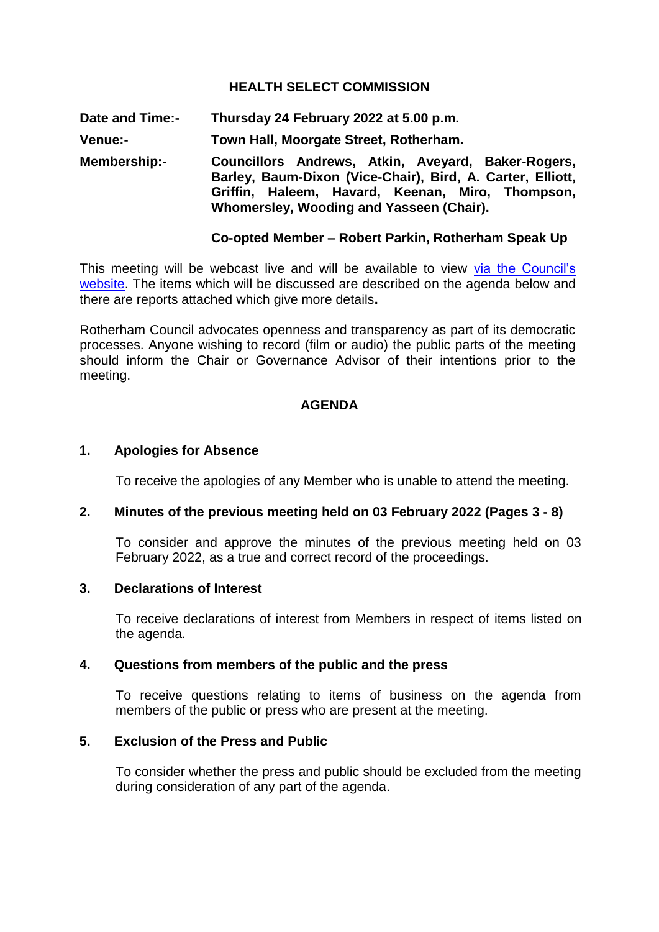## **HEALTH SELECT COMMISSION**

**Date and Time:- Thursday 24 February 2022 at 5.00 p.m.**

**Venue:- Town Hall, Moorgate Street, Rotherham.**

**Membership:- Councillors Andrews, Atkin, Aveyard, Baker-Rogers, Barley, Baum-Dixon (Vice-Chair), Bird, A. Carter, Elliott, Griffin, Haleem, Havard, Keenan, Miro, Thompson, Whomersley, Wooding and Yasseen (Chair).**

#### **Co-opted Member – Robert Parkin, Rotherham Speak Up**

This meeting will be webcast live and will be available to view via the Council's [website.](https://rotherham.public-i.tv/core/portal/home) The items which will be discussed are described on the agenda below and there are reports attached which give more details**.**

Rotherham Council advocates openness and transparency as part of its democratic processes. Anyone wishing to record (film or audio) the public parts of the meeting should inform the Chair or Governance Advisor of their intentions prior to the meeting.

#### **AGENDA**

#### **1. Apologies for Absence**

To receive the apologies of any Member who is unable to attend the meeting.

#### **2. Minutes of the previous meeting held on 03 February 2022 (Pages 3 - 8)**

To consider and approve the minutes of the previous meeting held on 03 February 2022, as a true and correct record of the proceedings.

#### **3. Declarations of Interest**

To receive declarations of interest from Members in respect of items listed on the agenda.

## **4. Questions from members of the public and the press**

To receive questions relating to items of business on the agenda from members of the public or press who are present at the meeting.

#### **5. Exclusion of the Press and Public**

To consider whether the press and public should be excluded from the meeting during consideration of any part of the agenda.